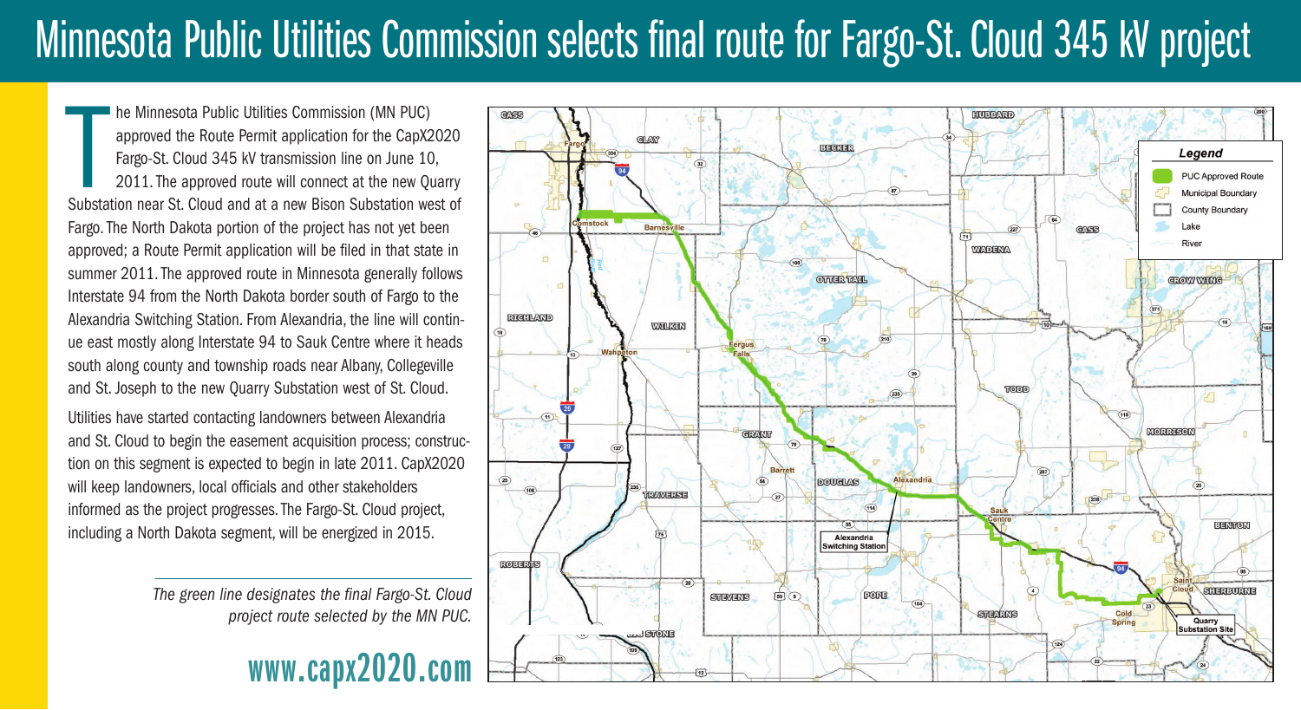## Minnesota Public Utilities Commission selects final route for Fargo-St. Cloud 345 kV project

he Minnesota Public Utilities Commission (MN PUC)<br>approved the Route Permit application for the CapX2020<br>Fargo-St. Cloud 345 kV transmission line on June 10,<br>2011. The approved route will connect at the new Quarry<br>Substati he Minnesota Public Utilities Commission (MN PUC) approved the Route Permit application for the CapX2020 Fargo-St. Cloud 345 kV transmission line on June 10, 2011. The approved route will connect at the new Quarry Fargo. The North Dakota portion of the project has not yet been approved; a Route Permit application will be filed in that state in summer 2011. The approved route in Minnesota generally follows Interstate 94 from the North Dakota border south of Fargo to the Alexandria Switching Station. From Alexandria, the line will continue east mostly along Interstate 94 to Sauk Centre where it heads south along county and township roads near Albany, Collegeville and St. Joseph to the new Quarry Substation west of St. Cloud.

Utilities have started contacting landowners between Alexandria and St. Cloud to begin the easement acquisition process; construction on this segment is expected to begin in late 2011. CapX2020 will keep landowners, local officials and other stakeholders informed as the project progresses. The Fargo-St. Cloud project, including a North Dakota segment, will be energized in 2015.

> *The green line designates the final Fargo-St. Cloud project route selected by the MN PUC.*

## **www.capx2020.com**